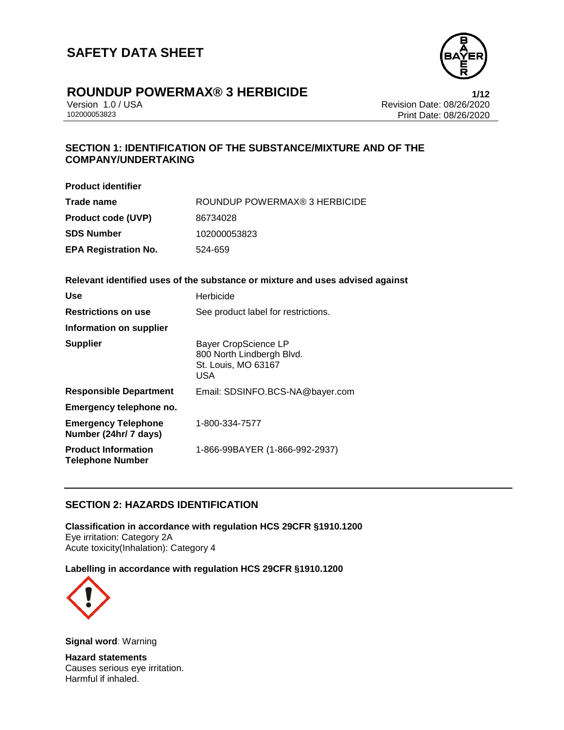

# **ROUNDUP POWERMAX® 3 HERBICIDE**<br>Version 1.0 / USA **1/12**<br>Revision Date: 08/26/2020

Version 1.0 / USA Revision Date: 08/26/2020 Print Date: 08/26/2020

# **SECTION 1: IDENTIFICATION OF THE SUBSTANCE/MIXTURE AND OF THE COMPANY/UNDERTAKING**

| <b>Product identifier</b>   |                               |
|-----------------------------|-------------------------------|
| Trade name                  | ROUNDUP POWERMAX® 3 HERBICIDE |
| <b>Product code (UVP)</b>   | 86734028                      |
| SDS Number                  | 102000053823                  |
| <b>EPA Registration No.</b> | 524-659                       |
|                             |                               |

# **Relevant identified uses of the substance or mixture and uses advised against**

| Use                                                   | Herbicide                                                                                     |
|-------------------------------------------------------|-----------------------------------------------------------------------------------------------|
| <b>Restrictions on use</b>                            | See product label for restrictions.                                                           |
| <b>Information on supplier</b>                        |                                                                                               |
| <b>Supplier</b>                                       | <b>Bayer CropScience LP</b><br>800 North Lindbergh Blvd.<br>St. Louis, MO 63167<br><b>USA</b> |
| <b>Responsible Department</b>                         | Email: SDSINFO.BCS-NA@bayer.com                                                               |
| Emergency telephone no.                               |                                                                                               |
| <b>Emergency Telephone</b><br>Number (24hr/ 7 days)   | 1-800-334-7577                                                                                |
| <b>Product Information</b><br><b>Telephone Number</b> | 1-866-99BAYER (1-866-992-2937)                                                                |

## **SECTION 2: HAZARDS IDENTIFICATION**

**Classification in accordance with regulation HCS 29CFR §1910.1200** Eye irritation: Category 2A Acute toxicity(Inhalation): Category 4

### **Labelling in accordance with regulation HCS 29CFR §1910.1200**



**Signal word**: Warning

**Hazard statements** Causes serious eye irritation. Harmful if inhaled.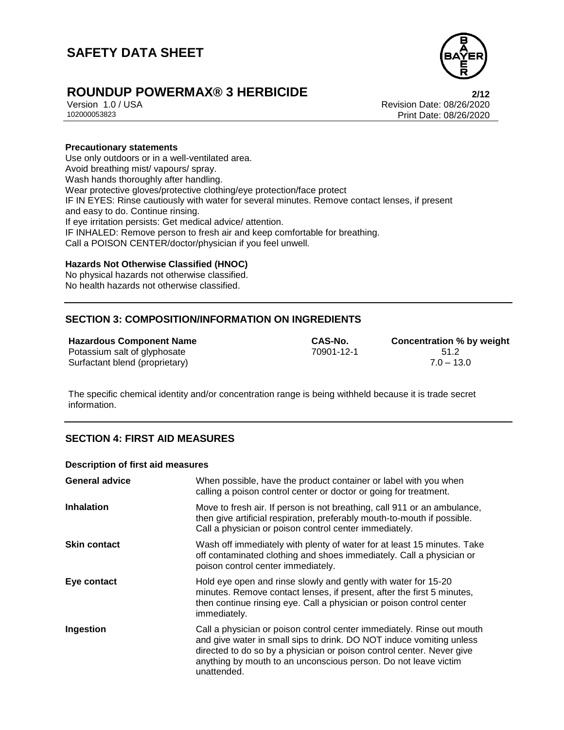

# **ROUNDUP POWERMAX® 3 HERBICIDE**<br>
Version 1.0/USA<br>
Revision Date: 08/26/2020

Version 1.0 / USA Revision Date: 08/26/2020 Print Date: 08/26/2020

#### **Precautionary statements**

Use only outdoors or in a well-ventilated area. Avoid breathing mist/ vapours/ spray. Wash hands thoroughly after handling. Wear protective gloves/protective clothing/eye protection/face protect IF IN EYES: Rinse cautiously with water for several minutes. Remove contact lenses, if present and easy to do. Continue rinsing. If eye irritation persists: Get medical advice/ attention. IF INHALED: Remove person to fresh air and keep comfortable for breathing. Call a POISON CENTER/doctor/physician if you feel unwell.

### **Hazards Not Otherwise Classified (HNOC)**

No physical hazards not otherwise classified. No health hazards not otherwise classified.

## **SECTION 3: COMPOSITION/INFORMATION ON INGREDIENTS**

## **Hazardous Component Name CAS-No. Concentration % by weight**

Potassium salt of glyphosate 61.2 Surfactant blend (proprietary) 7.0 – 13.0

The specific chemical identity and/or concentration range is being withheld because it is trade secret information.

## **SECTION 4: FIRST AID MEASURES**

#### **Description of first aid measures**

| <b>General advice</b> | When possible, have the product container or label with you when<br>calling a poison control center or doctor or going for treatment.                                                                                                                                                                     |
|-----------------------|-----------------------------------------------------------------------------------------------------------------------------------------------------------------------------------------------------------------------------------------------------------------------------------------------------------|
| <b>Inhalation</b>     | Move to fresh air. If person is not breathing, call 911 or an ambulance,<br>then give artificial respiration, preferably mouth-to-mouth if possible.<br>Call a physician or poison control center immediately.                                                                                            |
| <b>Skin contact</b>   | Wash off immediately with plenty of water for at least 15 minutes. Take<br>off contaminated clothing and shoes immediately. Call a physician or<br>poison control center immediately.                                                                                                                     |
| Eye contact           | Hold eye open and rinse slowly and gently with water for 15-20<br>minutes. Remove contact lenses, if present, after the first 5 minutes,<br>then continue rinsing eye. Call a physician or poison control center<br>immediately.                                                                          |
| Ingestion             | Call a physician or poison control center immediately. Rinse out mouth<br>and give water in small sips to drink. DO NOT induce vomiting unless<br>directed to do so by a physician or poison control center. Never give<br>anything by mouth to an unconscious person. Do not leave victim<br>unattended. |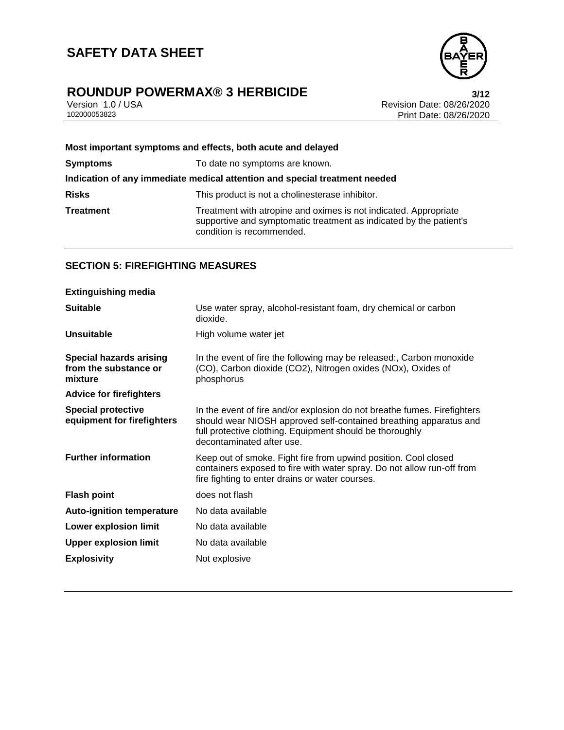

# **ROUNDUP POWERMAX® 3 HERBICIDE**<br>Version 1.0 / USA **bigger and Secure 2012** Revision Date: 08/26/2020

Version 1.0 / USA Revision Date: 08/26/2020<br>102000053823 Print Date: 08/26/2020 Print Date: 08/26/2020

| Most important symptoms and effects, both acute and delayed                |                                                                                                                                                                     |
|----------------------------------------------------------------------------|---------------------------------------------------------------------------------------------------------------------------------------------------------------------|
| <b>Symptoms</b>                                                            | To date no symptoms are known.                                                                                                                                      |
| Indication of any immediate medical attention and special treatment needed |                                                                                                                                                                     |
| <b>Risks</b>                                                               | This product is not a cholinesterase inhibitor.                                                                                                                     |
| <b>Treatment</b>                                                           | Treatment with atropine and oximes is not indicated. Appropriate<br>supportive and symptomatic treatment as indicated by the patient's<br>condition is recommended. |

# **SECTION 5: FIREFIGHTING MEASURES**

| <b>Extinguishing media</b>                                         |                                                                                                                                                                                                                                        |
|--------------------------------------------------------------------|----------------------------------------------------------------------------------------------------------------------------------------------------------------------------------------------------------------------------------------|
| <b>Suitable</b>                                                    | Use water spray, alcohol-resistant foam, dry chemical or carbon<br>dioxide.                                                                                                                                                            |
| <b>Unsuitable</b>                                                  | High volume water jet                                                                                                                                                                                                                  |
| <b>Special hazards arising</b><br>from the substance or<br>mixture | In the event of fire the following may be released:, Carbon monoxide<br>(CO), Carbon dioxide (CO2), Nitrogen oxides (NOx), Oxides of<br>phosphorus                                                                                     |
| <b>Advice for firefighters</b>                                     |                                                                                                                                                                                                                                        |
| <b>Special protective</b><br>equipment for firefighters            | In the event of fire and/or explosion do not breathe fumes. Firefighters<br>should wear NIOSH approved self-contained breathing apparatus and<br>full protective clothing. Equipment should be thoroughly<br>decontaminated after use. |
| <b>Further information</b>                                         | Keep out of smoke. Fight fire from upwind position. Cool closed<br>containers exposed to fire with water spray. Do not allow run-off from<br>fire fighting to enter drains or water courses.                                           |
| <b>Flash point</b>                                                 | does not flash                                                                                                                                                                                                                         |
| <b>Auto-ignition temperature</b>                                   | No data available                                                                                                                                                                                                                      |
| <b>Lower explosion limit</b>                                       | No data available                                                                                                                                                                                                                      |
| <b>Upper explosion limit</b>                                       | No data available                                                                                                                                                                                                                      |
| <b>Explosivity</b>                                                 | Not explosive                                                                                                                                                                                                                          |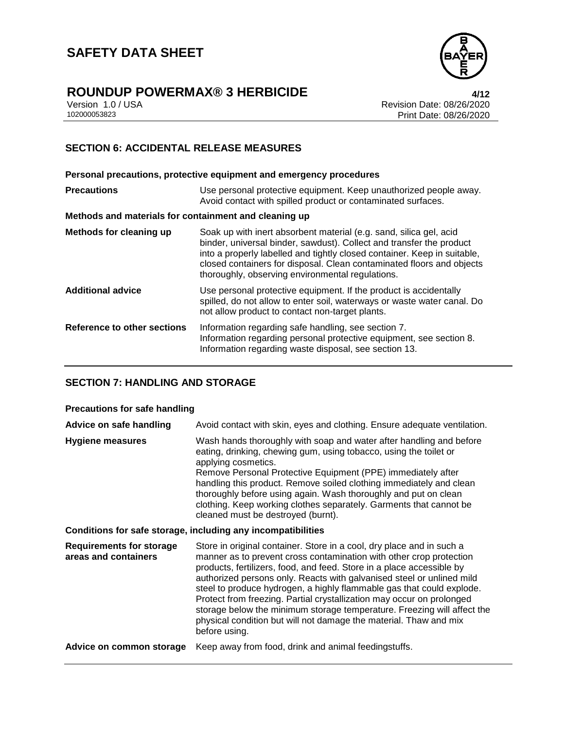

# **ROUNDUP POWERMAX® 3 HERBICIDE 4/12**

Version 1.0 / USA Revision Date: 08/26/2020 Print Date: 08/26/2020

## **SECTION 6: ACCIDENTAL RELEASE MEASURES**

**Personal precautions, protective equipment and emergency procedures Precautions** Use personal protective equipment. Keep unauthorized people away. Avoid contact with spilled product or contaminated surfaces. **Methods and materials for containment and cleaning up Methods for cleaning up** Soak up with inert absorbent material (e.g. sand, silica gel, acid binder, universal binder, sawdust). Collect and transfer the product into a properly labelled and tightly closed container. Keep in suitable, closed containers for disposal. Clean contaminated floors and objects thoroughly, observing environmental regulations. **Additional advice** Use personal protective equipment. If the product is accidentally spilled, do not allow to enter soil, waterways or waste water canal. Do not allow product to contact non-target plants. **Reference to other sections** Information regarding safe handling, see section 7. Information regarding personal protective equipment, see section 8. Information regarding waste disposal, see section 13.

## **SECTION 7: HANDLING AND STORAGE**

#### **Precautions for safe handling**

| Advice on safe handling                                      | Avoid contact with skin, eyes and clothing. Ensure adequate ventilation.                                                                                                                                                                                                                                                                                                                                                                                                                                                                                                                                          |  |
|--------------------------------------------------------------|-------------------------------------------------------------------------------------------------------------------------------------------------------------------------------------------------------------------------------------------------------------------------------------------------------------------------------------------------------------------------------------------------------------------------------------------------------------------------------------------------------------------------------------------------------------------------------------------------------------------|--|
| <b>Hygiene measures</b>                                      | Wash hands thoroughly with soap and water after handling and before<br>eating, drinking, chewing gum, using tobacco, using the toilet or<br>applying cosmetics.<br>Remove Personal Protective Equipment (PPE) immediately after<br>handling this product. Remove soiled clothing immediately and clean<br>thoroughly before using again. Wash thoroughly and put on clean<br>clothing. Keep working clothes separately. Garments that cannot be<br>cleaned must be destroyed (burnt).                                                                                                                             |  |
| Conditions for safe storage, including any incompatibilities |                                                                                                                                                                                                                                                                                                                                                                                                                                                                                                                                                                                                                   |  |
| <b>Requirements for storage</b><br>areas and containers      | Store in original container. Store in a cool, dry place and in such a<br>manner as to prevent cross contamination with other crop protection<br>products, fertilizers, food, and feed. Store in a place accessible by<br>authorized persons only. Reacts with galvanised steel or unlined mild<br>steel to produce hydrogen, a highly flammable gas that could explode.<br>Protect from freezing. Partial crystallization may occur on prolonged<br>storage below the minimum storage temperature. Freezing will affect the<br>physical condition but will not damage the material. Thaw and mix<br>before using. |  |
| Advice on common storage                                     | Keep away from food, drink and animal feedingstuffs.                                                                                                                                                                                                                                                                                                                                                                                                                                                                                                                                                              |  |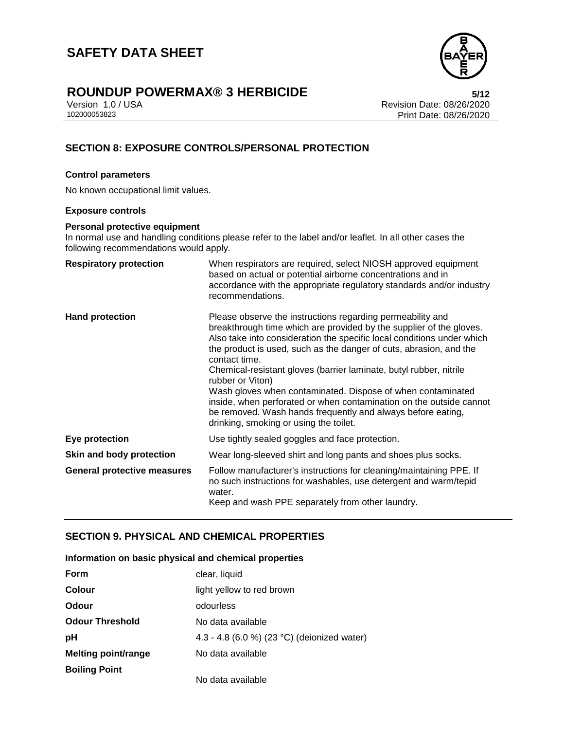

# **ROUNDUP POWERMAX® 3 HERBICIDE**<br>Version 1.0 / USA **bigger and State: 08/26/2020**

Version 1.0 / USA Revision Date: 08/26/2020 Print Date: 08/26/2020

# **SECTION 8: EXPOSURE CONTROLS/PERSONAL PROTECTION**

#### **Control parameters**

No known occupational limit values.

#### **Exposure controls**

#### **Personal protective equipment**

In normal use and handling conditions please refer to the label and/or leaflet. In all other cases the following recommendations would apply.

| <b>Respiratory protection</b>      | When respirators are required, select NIOSH approved equipment<br>based on actual or potential airborne concentrations and in<br>accordance with the appropriate regulatory standards and/or industry<br>recommendations.                                                                                                                                                                                                                                                                                                                                                                                                                   |
|------------------------------------|---------------------------------------------------------------------------------------------------------------------------------------------------------------------------------------------------------------------------------------------------------------------------------------------------------------------------------------------------------------------------------------------------------------------------------------------------------------------------------------------------------------------------------------------------------------------------------------------------------------------------------------------|
| <b>Hand protection</b>             | Please observe the instructions regarding permeability and<br>breakthrough time which are provided by the supplier of the gloves.<br>Also take into consideration the specific local conditions under which<br>the product is used, such as the danger of cuts, abrasion, and the<br>contact time.<br>Chemical-resistant gloves (barrier laminate, butyl rubber, nitrile<br>rubber or Viton)<br>Wash gloves when contaminated. Dispose of when contaminated<br>inside, when perforated or when contamination on the outside cannot<br>be removed. Wash hands frequently and always before eating,<br>drinking, smoking or using the toilet. |
| <b>Eye protection</b>              | Use tightly sealed goggles and face protection.                                                                                                                                                                                                                                                                                                                                                                                                                                                                                                                                                                                             |
| Skin and body protection           | Wear long-sleeved shirt and long pants and shoes plus socks.                                                                                                                                                                                                                                                                                                                                                                                                                                                                                                                                                                                |
| <b>General protective measures</b> | Follow manufacturer's instructions for cleaning/maintaining PPE. If<br>no such instructions for washables, use detergent and warm/tepid<br>water.<br>Keep and wash PPE separately from other laundry.                                                                                                                                                                                                                                                                                                                                                                                                                                       |

## **SECTION 9. PHYSICAL AND CHEMICAL PROPERTIES**

#### **Information on basic physical and chemical properties**

| Form                       | clear, liquid                               |
|----------------------------|---------------------------------------------|
| Colour                     | light yellow to red brown                   |
| Odour                      | odourless                                   |
| <b>Odour Threshold</b>     | No data available                           |
| рH                         | 4.3 - 4.8 (6.0 %) (23 °C) (deionized water) |
| <b>Melting point/range</b> | No data available                           |
| <b>Boiling Point</b>       |                                             |
|                            | No data available                           |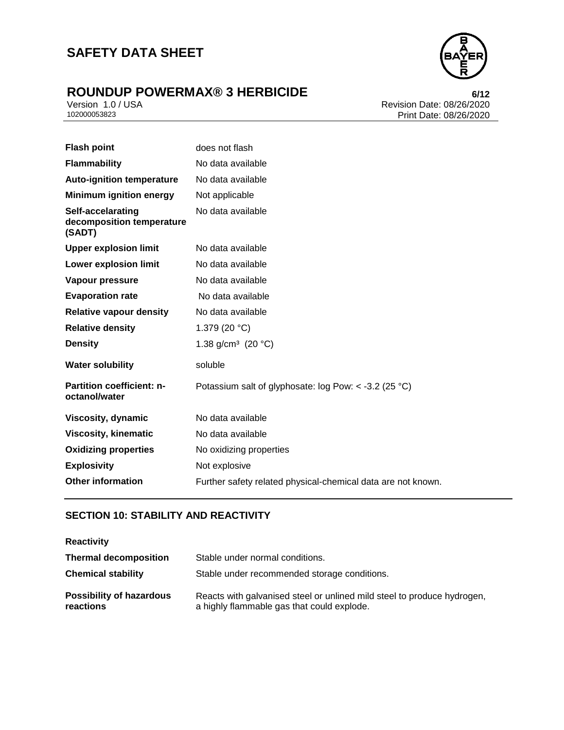# **ROUNDUP POWERMAX® 3 HERBICIDE**<br>Version 1.0 / USA **by Careland Revision Date: 08/26/2020**



Version 1.0 / USA Revision Date: 08/26/2020<br>102000053823 Print Date: 08/26/2020 Print Date: 08/26/2020

| <b>Flash point</b>                                       | does not flash                                               |
|----------------------------------------------------------|--------------------------------------------------------------|
| <b>Flammability</b>                                      | No data available                                            |
| <b>Auto-ignition temperature</b>                         | No data available                                            |
| <b>Minimum ignition energy</b>                           | Not applicable                                               |
| Self-accelarating<br>decomposition temperature<br>(SADT) | No data available                                            |
| <b>Upper explosion limit</b>                             | No data available                                            |
| <b>Lower explosion limit</b>                             | No data available                                            |
| Vapour pressure                                          | No data available                                            |
| <b>Evaporation rate</b>                                  | No data available                                            |
| <b>Relative vapour density</b>                           | No data available                                            |
| <b>Relative density</b>                                  | 1.379 (20 $°C$ )                                             |
| <b>Density</b>                                           | 1.38 g/cm <sup>3</sup> (20 °C)                               |
| <b>Water solubility</b>                                  | soluble                                                      |
| Partition coefficient: n-<br>octanol/water               | Potassium salt of glyphosate: log Pow: < -3.2 (25 °C)        |
| Viscosity, dynamic                                       | No data available                                            |
| <b>Viscosity, kinematic</b>                              | No data available                                            |
| <b>Oxidizing properties</b>                              | No oxidizing properties                                      |
| <b>Explosivity</b>                                       | Not explosive                                                |
| <b>Other information</b>                                 | Further safety related physical-chemical data are not known. |
|                                                          |                                                              |

# **SECTION 10: STABILITY AND REACTIVITY**

| <b>Reactivity</b>                            |                                                                                                                       |
|----------------------------------------------|-----------------------------------------------------------------------------------------------------------------------|
| <b>Thermal decomposition</b>                 | Stable under normal conditions.                                                                                       |
| <b>Chemical stability</b>                    | Stable under recommended storage conditions.                                                                          |
| <b>Possibility of hazardous</b><br>reactions | Reacts with galvanised steel or unlined mild steel to produce hydrogen,<br>a highly flammable gas that could explode. |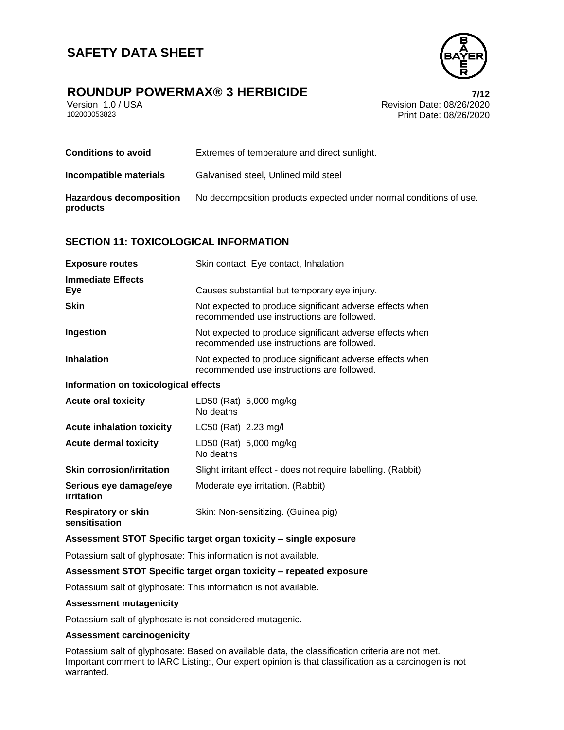

# **ROUNDUP POWERMAX® 3 HERBICIDE 7/12**

Version 1.0 / USA Revision Date: 08/26/2020 Print Date: 08/26/2020

| <b>Conditions to avoid</b>                 | Extremes of temperature and direct sunlight.                       |
|--------------------------------------------|--------------------------------------------------------------------|
| Incompatible materials                     | Galvanised steel, Unlined mild steel                               |
| <b>Hazardous decomposition</b><br>products | No decomposition products expected under normal conditions of use. |

### **SECTION 11: TOXICOLOGICAL INFORMATION**

| <b>Exposure routes</b>                      | Skin contact, Eye contact, Inhalation                                                                  |  |
|---------------------------------------------|--------------------------------------------------------------------------------------------------------|--|
| <b>Immediate Effects</b><br>Eye             | Causes substantial but temporary eye injury.                                                           |  |
| <b>Skin</b>                                 | Not expected to produce significant adverse effects when<br>recommended use instructions are followed. |  |
| Ingestion                                   | Not expected to produce significant adverse effects when<br>recommended use instructions are followed. |  |
| <b>Inhalation</b>                           | Not expected to produce significant adverse effects when<br>recommended use instructions are followed. |  |
| Information on toxicological effects        |                                                                                                        |  |
| <b>Acute oral toxicity</b>                  | LD50 (Rat) 5,000 mg/kg<br>No deaths                                                                    |  |
| <b>Acute inhalation toxicity</b>            | LC50 (Rat) 2.23 mg/l                                                                                   |  |
| <b>Acute dermal toxicity</b>                | LD50 (Rat) 5,000 mg/kg<br>No deaths                                                                    |  |
| <b>Skin corrosion/irritation</b>            | Slight irritant effect - does not require labelling. (Rabbit)                                          |  |
| Serious eye damage/eye<br>irritation        | Moderate eye irritation. (Rabbit)                                                                      |  |
| <b>Respiratory or skin</b><br>sensitisation | Skin: Non-sensitizing. (Guinea pig)                                                                    |  |
|                                             |                                                                                                        |  |

## **Assessment STOT Specific target organ toxicity – single exposure**

Potassium salt of glyphosate: This information is not available.

#### **Assessment STOT Specific target organ toxicity – repeated exposure**

Potassium salt of glyphosate: This information is not available.

#### **Assessment mutagenicity**

Potassium salt of glyphosate is not considered mutagenic.

## **Assessment carcinogenicity**

Potassium salt of glyphosate: Based on available data, the classification criteria are not met. Important comment to IARC Listing:, Our expert opinion is that classification as a carcinogen is not warranted.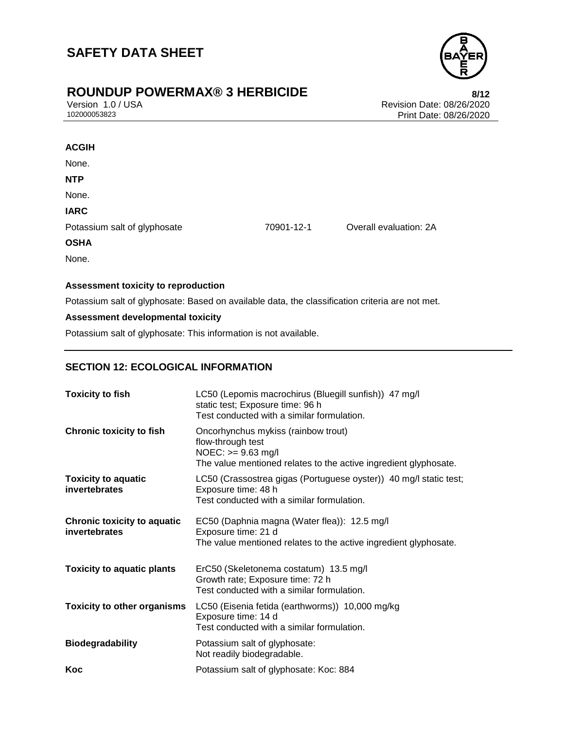

# **ROUNDUP POWERMAX® 3 HERBICIDE**<br>Version 1.0 / USA **Property Access 1.0 / USA**

Version 1.0 / USA Revision Date: 08/26/2020<br>102000053823 Print Date: 08/26/2020 Print Date: 08/26/2020

| <b>ACGIH</b>                 |            |                        |
|------------------------------|------------|------------------------|
| None.                        |            |                        |
| <b>NTP</b>                   |            |                        |
| None.                        |            |                        |
| <b>IARC</b>                  |            |                        |
| Potassium salt of glyphosate | 70901-12-1 | Overall evaluation: 2A |
| <b>OSHA</b>                  |            |                        |
| None.                        |            |                        |

### **Assessment toxicity to reproduction**

Potassium salt of glyphosate: Based on available data, the classification criteria are not met.

### **Assessment developmental toxicity**

Potassium salt of glyphosate: This information is not available.

## **SECTION 12: ECOLOGICAL INFORMATION**

| <b>Toxicity to fish</b>                             | LC50 (Lepomis macrochirus (Bluegill sunfish)) 47 mg/l<br>static test; Exposure time: 96 h<br>Test conducted with a similar formulation.            |
|-----------------------------------------------------|----------------------------------------------------------------------------------------------------------------------------------------------------|
| <b>Chronic toxicity to fish</b>                     | Oncorhynchus mykiss (rainbow trout)<br>flow-through test<br>NOEC: >= 9.63 mg/l<br>The value mentioned relates to the active ingredient glyphosate. |
| <b>Toxicity to aquatic</b><br>invertebrates         | LC50 (Crassostrea gigas (Portuguese oyster)) 40 mg/l static test;<br>Exposure time: 48 h<br>Test conducted with a similar formulation.             |
| <b>Chronic toxicity to aquatic</b><br>invertebrates | EC50 (Daphnia magna (Water flea)): 12.5 mg/l<br>Exposure time: 21 d<br>The value mentioned relates to the active ingredient glyphosate.            |
| <b>Toxicity to aquatic plants</b>                   | ErC50 (Skeletonema costatum) 13.5 mg/l<br>Growth rate; Exposure time: 72 h<br>Test conducted with a similar formulation.                           |
| <b>Toxicity to other organisms</b>                  | LC50 (Eisenia fetida (earthworms)) 10,000 mg/kg<br>Exposure time: 14 d<br>Test conducted with a similar formulation.                               |
| <b>Biodegradability</b>                             | Potassium salt of glyphosate:<br>Not readily biodegradable.                                                                                        |
| Koc                                                 | Potassium salt of glyphosate: Koc: 884                                                                                                             |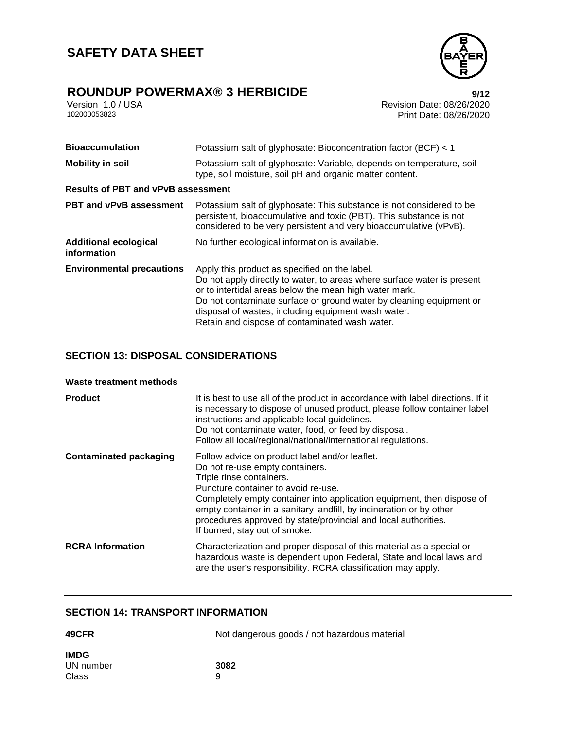

# **ROUNDUP POWERMAX® 3 HERBICIDE 9/12**

| Version 1.0 / USA |  |
|-------------------|--|
| 102000053823      |  |

Revision Date: 08/26/2020 Print Date: 08/26/2020

| <b>Bioaccumulation</b>                      | Potassium salt of glyphosate: Bioconcentration factor (BCF) < 1                                                                                                                                                                                                                                                                                                    |
|---------------------------------------------|--------------------------------------------------------------------------------------------------------------------------------------------------------------------------------------------------------------------------------------------------------------------------------------------------------------------------------------------------------------------|
| <b>Mobility in soil</b>                     | Potassium salt of glyphosate: Variable, depends on temperature, soil<br>type, soil moisture, soil pH and organic matter content.                                                                                                                                                                                                                                   |
| <b>Results of PBT and vPvB assessment</b>   |                                                                                                                                                                                                                                                                                                                                                                    |
| <b>PBT and vPvB assessment</b>              | Potassium salt of glyphosate: This substance is not considered to be<br>persistent, bioaccumulative and toxic (PBT). This substance is not<br>considered to be very persistent and very bioaccumulative (vPvB).                                                                                                                                                    |
| <b>Additional ecological</b><br>information | No further ecological information is available.                                                                                                                                                                                                                                                                                                                    |
| <b>Environmental precautions</b>            | Apply this product as specified on the label.<br>Do not apply directly to water, to areas where surface water is present<br>or to intertidal areas below the mean high water mark.<br>Do not contaminate surface or ground water by cleaning equipment or<br>disposal of wastes, including equipment wash water.<br>Retain and dispose of contaminated wash water. |

# **SECTION 13: DISPOSAL CONSIDERATIONS**

#### **Waste treatment methods**

| <b>Product</b>                | It is best to use all of the product in accordance with label directions. If it<br>is necessary to dispose of unused product, please follow container label<br>instructions and applicable local guidelines.<br>Do not contaminate water, food, or feed by disposal.<br>Follow all local/regional/national/international regulations.                                                                    |
|-------------------------------|----------------------------------------------------------------------------------------------------------------------------------------------------------------------------------------------------------------------------------------------------------------------------------------------------------------------------------------------------------------------------------------------------------|
| <b>Contaminated packaging</b> | Follow advice on product label and/or leaflet.<br>Do not re-use empty containers.<br>Triple rinse containers.<br>Puncture container to avoid re-use.<br>Completely empty container into application equipment, then dispose of<br>empty container in a sanitary landfill, by incineration or by other<br>procedures approved by state/provincial and local authorities.<br>If burned, stay out of smoke. |
| <b>RCRA Information</b>       | Characterization and proper disposal of this material as a special or<br>hazardous waste is dependent upon Federal, State and local laws and<br>are the user's responsibility. RCRA classification may apply.                                                                                                                                                                                            |

### **SECTION 14: TRANSPORT INFORMATION**

| 49CFR       | Not dangerous goods / not hazardous material |
|-------------|----------------------------------------------|
| <b>IMDG</b> |                                              |
| UN number   | 3082                                         |
| Class       | 9                                            |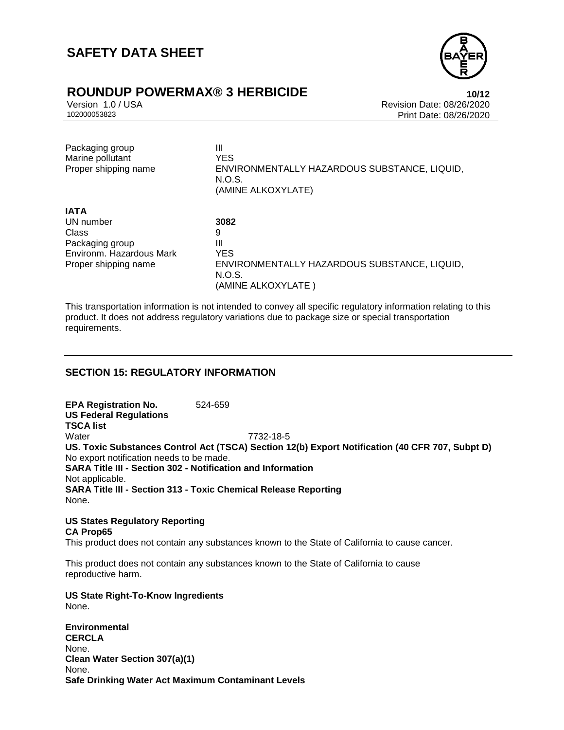

# **ROUNDUP POWERMAX® 3 HERBICIDE 10/12**

Version 1.0 / USA Revision Date: 08/26/2020 Print Date: 08/26/2020

| Packaging group<br>Marine pollutant<br>Proper shipping name | Ш<br><b>YES</b><br>ENVIRONMENTALLY HAZARDOUS SUBSTANCE, LIQUID,<br>N.O.S.<br>(AMINE ALKOXYLATE) |
|-------------------------------------------------------------|-------------------------------------------------------------------------------------------------|
| <b>IATA</b>                                                 |                                                                                                 |
| UN number                                                   | 3082                                                                                            |
| Class                                                       | 9                                                                                               |
| Packaging group                                             | Ш                                                                                               |
| Environm, Hazardous Mark                                    | <b>YES</b>                                                                                      |
| Proper shipping name                                        | ENVIRONMENTALLY HAZARDOUS SUBSTANCE, LIQUID,<br>N.O.S.<br>(AMINE ALKOXYLATE )                   |

This transportation information is not intended to convey all specific regulatory information relating to this product. It does not address regulatory variations due to package size or special transportation requirements.

## **SECTION 15: REGULATORY INFORMATION**

**EPA Registration No.** 524-659 **US Federal Regulations TSCA list** Water 7732-18-5 **US. Toxic Substances Control Act (TSCA) Section 12(b) Export Notification (40 CFR 707, Subpt D)** No export notification needs to be made. **SARA Title III - Section 302 - Notification and Information** Not applicable. **SARA Title III - Section 313 - Toxic Chemical Release Reporting** None.

#### **US States Regulatory Reporting CA Prop65** This product does not contain any substances known to the State of California to cause cancer.

This product does not contain any substances known to the State of California to cause reproductive harm.

#### **US State Right-To-Know Ingredients** None.

**Environmental CERCLA** None. **Clean Water Section 307(a)(1)** None. **Safe Drinking Water Act Maximum Contaminant Levels**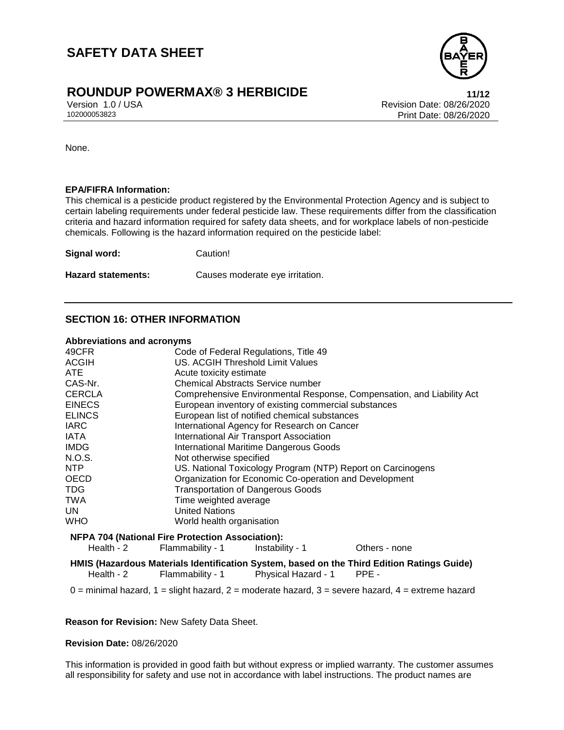

# **ROUNDUP POWERMAX® 3 HERBICIDE 11/12**

Version 1.0 / USA Revision Date: 08/26/2020<br>102000053823 Revision Date: 08/26/2020 Print Date: 08/26/2020

None.

#### **EPA/FIFRA Information:**

This chemical is a pesticide product registered by the Environmental Protection Agency and is subject to certain labeling requirements under federal pesticide law. These requirements differ from the classification criteria and hazard information required for safety data sheets, and for workplace labels of non-pesticide chemicals. Following is the hazard information required on the pesticide label:

**Signal word:** Caution! **Hazard statements:** Causes moderate eye irritation.

### **SECTION 16: OTHER INFORMATION**

#### **Abbreviations and acronyms**

| $\overline{ }$ |                                                                       |
|----------------|-----------------------------------------------------------------------|
| 49CFR          | Code of Federal Regulations, Title 49                                 |
| <b>ACGIH</b>   | US. ACGIH Threshold Limit Values                                      |
| ATE.           | Acute toxicity estimate                                               |
| CAS-Nr.        | <b>Chemical Abstracts Service number</b>                              |
| <b>CERCLA</b>  | Comprehensive Environmental Response, Compensation, and Liability Act |
| <b>EINECS</b>  | European inventory of existing commercial substances                  |
| <b>ELINCS</b>  | European list of notified chemical substances                         |
| <b>IARC</b>    | International Agency for Research on Cancer                           |
| IATA           | International Air Transport Association                               |
| <b>IMDG</b>    | International Maritime Dangerous Goods                                |
| N.O.S.         | Not otherwise specified                                               |
| NTP            | US. National Toxicology Program (NTP) Report on Carcinogens           |
| <b>OECD</b>    | Organization for Economic Co-operation and Development                |
| <b>TDG</b>     | <b>Transportation of Dangerous Goods</b>                              |
| <b>TWA</b>     | Time weighted average                                                 |
| UN.            | <b>United Nations</b>                                                 |
| <b>WHO</b>     | World health organisation                                             |
|                | <b>NFPA 704 (National Fire Protection Association):</b>               |

Health - 2 Flammability - 1 Instability - 1 Others - none

**HMIS (Hazardous Materials Identification System, based on the Third Edition Ratings Guide)** Health - 2 Flammability - 1 Physical Hazard - 1 PPE -

 $0 =$  minimal hazard,  $1 =$  slight hazard,  $2 =$  moderate hazard,  $3 =$  severe hazard,  $4 =$  extreme hazard

**Reason for Revision:** New Safety Data Sheet.

#### **Revision Date:** 08/26/2020

This information is provided in good faith but without express or implied warranty. The customer assumes all responsibility for safety and use not in accordance with label instructions. The product names are